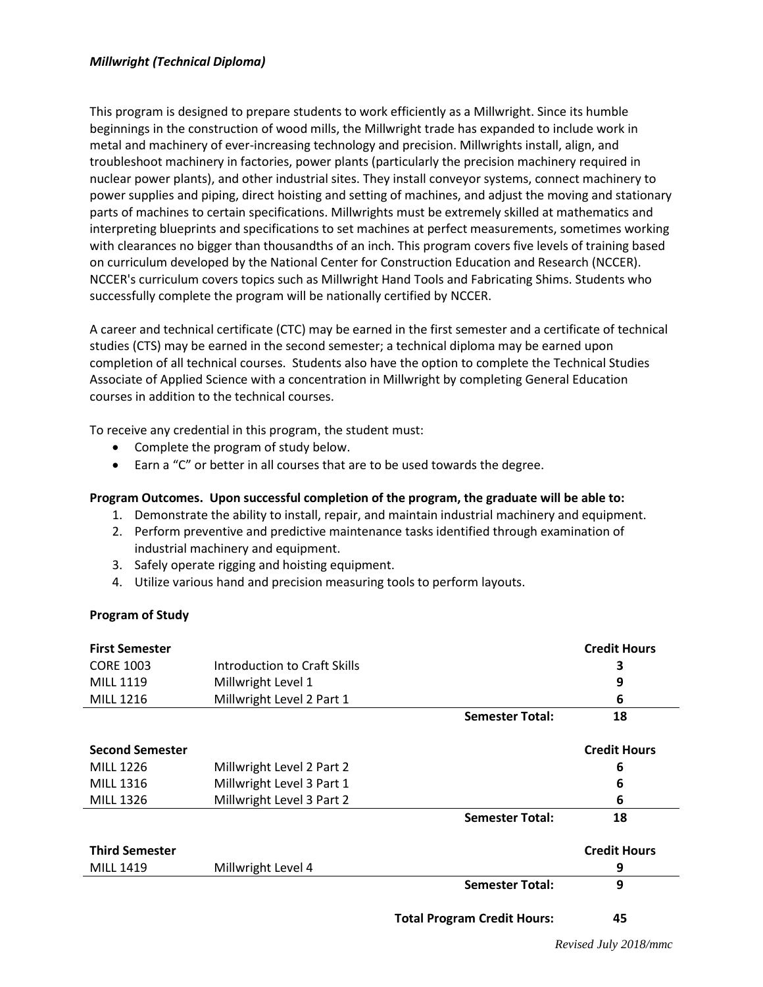This program is designed to prepare students to work efficiently as a Millwright. Since its humble beginnings in the construction of wood mills, the Millwright trade has expanded to include work in metal and machinery of ever-increasing technology and precision. Millwrights install, align, and troubleshoot machinery in factories, power plants (particularly the precision machinery required in nuclear power plants), and other industrial sites. They install conveyor systems, connect machinery to power supplies and piping, direct hoisting and setting of machines, and adjust the moving and stationary parts of machines to certain specifications. Millwrights must be extremely skilled at mathematics and interpreting blueprints and specifications to set machines at perfect measurements, sometimes working with clearances no bigger than thousandths of an inch. This program covers five levels of training based on curriculum developed by the National Center for Construction Education and Research (NCCER). NCCER's curriculum covers topics such as Millwright Hand Tools and Fabricating Shims. Students who successfully complete the program will be nationally certified by NCCER.

A career and technical certificate (CTC) may be earned in the first semester and a certificate of technical studies (CTS) may be earned in the second semester; a technical diploma may be earned upon completion of all technical courses. Students also have the option to complete the Technical Studies Associate of Applied Science with a concentration in Millwright by completing General Education courses in addition to the technical courses.

To receive any credential in this program, the student must:

- Complete the program of study below.
- Earn a "C" or better in all courses that are to be used towards the degree.

## **Program Outcomes. Upon successful completion of the program, the graduate will be able to:**

- 1. Demonstrate the ability to install, repair, and maintain industrial machinery and equipment.
- 2. Perform preventive and predictive maintenance tasks identified through examination of industrial machinery and equipment.
- 3. Safely operate rigging and hoisting equipment.
- 4. Utilize various hand and precision measuring tools to perform layouts.

## **Program of Study**

| <b>First Semester</b>  |                              |                                    | <b>Credit Hours</b> |
|------------------------|------------------------------|------------------------------------|---------------------|
| <b>CORE 1003</b>       | Introduction to Craft Skills |                                    | з                   |
| <b>MILL 1119</b>       | Millwright Level 1           |                                    | 9                   |
| MILL 1216              | Millwright Level 2 Part 1    |                                    | 6                   |
|                        |                              | <b>Semester Total:</b>             | 18                  |
| <b>Second Semester</b> |                              |                                    | <b>Credit Hours</b> |
| <b>MILL 1226</b>       | Millwright Level 2 Part 2    |                                    | 6                   |
| <b>MILL 1316</b>       | Millwright Level 3 Part 1    |                                    | 6                   |
| <b>MILL 1326</b>       | Millwright Level 3 Part 2    |                                    | 6                   |
|                        |                              | <b>Semester Total:</b>             | 18                  |
| <b>Third Semester</b>  |                              |                                    | <b>Credit Hours</b> |
| <b>MILL 1419</b>       | Millwright Level 4           |                                    | 9                   |
|                        |                              | <b>Semester Total:</b>             | 9                   |
|                        |                              | <b>Total Program Credit Hours:</b> | 45                  |

*Revised July 2018/mmc*